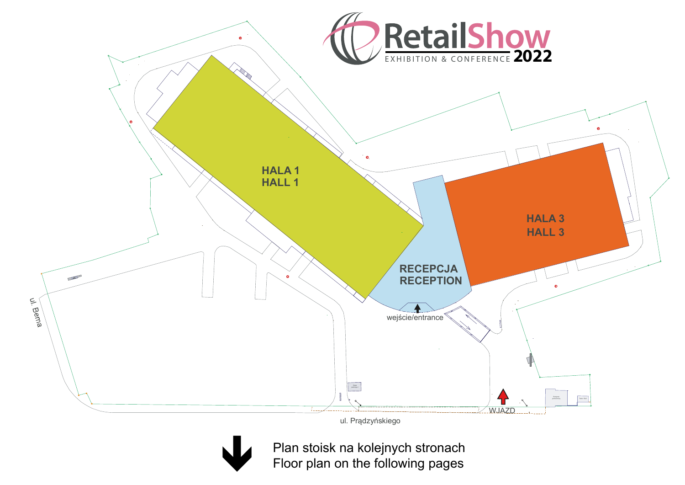

ul. Prądzyńs kiego



Plan stoisk na kolejnych stronach Floor plan on the following pages